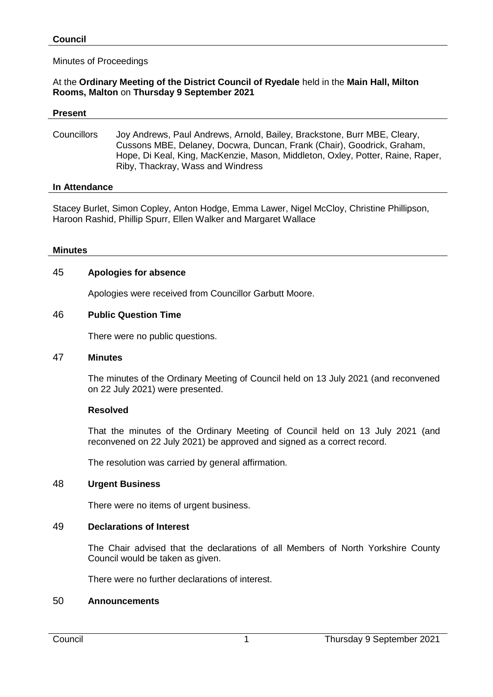### Minutes of Proceedings

### At the **Ordinary Meeting of the District Council of Ryedale** held in the **Main Hall, Milton Rooms, Malton** on **Thursday 9 September 2021**

#### **Present**

Councillors Joy Andrews, Paul Andrews, Arnold, Bailey, Brackstone, Burr MBE, Cleary, Cussons MBE, Delaney, Docwra, Duncan, Frank (Chair), Goodrick, Graham, Hope, Di Keal, King, MacKenzie, Mason, Middleton, Oxley, Potter, Raine, Raper, Riby, Thackray, Wass and Windress

#### **In Attendance**

Stacey Burlet, Simon Copley, Anton Hodge, Emma Lawer, Nigel McCloy, Christine Phillipson, Haroon Rashid, Phillip Spurr, Ellen Walker and Margaret Wallace

#### **Minutes**

#### 45 **Apologies for absence**

Apologies were received from Councillor Garbutt Moore.

#### 46 **Public Question Time**

There were no public questions.

#### 47 **Minutes**

The minutes of the Ordinary Meeting of Council held on 13 July 2021 (and reconvened on 22 July 2021) were presented.

#### **Resolved**

That the minutes of the Ordinary Meeting of Council held on 13 July 2021 (and reconvened on 22 July 2021) be approved and signed as a correct record.

The resolution was carried by general affirmation.

### 48 **Urgent Business**

There were no items of urgent business.

#### 49 **Declarations of Interest**

The Chair advised that the declarations of all Members of North Yorkshire County Council would be taken as given.

There were no further declarations of interest.

#### 50 **Announcements**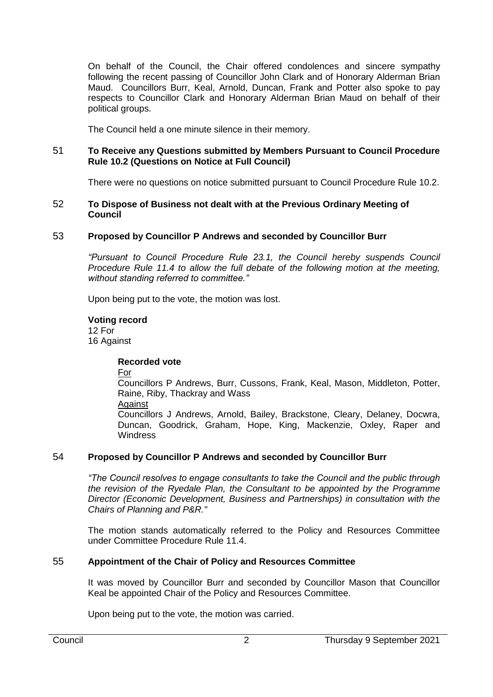On behalf of the Council, the Chair offered condolences and sincere sympathy following the recent passing of Councillor John Clark and of Honorary Alderman Brian Maud. Councillors Burr, Keal, Arnold, Duncan, Frank and Potter also spoke to pay respects to Councillor Clark and Honorary Alderman Brian Maud on behalf of their political groups.

The Council held a one minute silence in their memory.

### 51 **To Receive any Questions submitted by Members Pursuant to Council Procedure Rule 10.2 (Questions on Notice at Full Council)**

There were no questions on notice submitted pursuant to Council Procedure Rule 10.2.

#### 52 **To Dispose of Business not dealt with at the Previous Ordinary Meeting of Council**

# 53 **Proposed by Councillor P Andrews and seconded by Councillor Burr**

*"Pursuant to Council Procedure Rule 23.1, the Council hereby suspends Council Procedure Rule 11.4 to allow the full debate of the following motion at the meeting, without standing referred to committee."*

Upon being put to the vote, the motion was lost.

### **Voting record**

12 For 16 Against

#### **Recorded vote**

For

Councillors P Andrews, Burr, Cussons, Frank, Keal, Mason, Middleton, Potter, Raine, Riby, Thackray and Wass

**Against** 

Councillors J Andrews, Arnold, Bailey, Brackstone, Cleary, Delaney, Docwra, Duncan, Goodrick, Graham, Hope, King, Mackenzie, Oxley, Raper and **Windress** 

## 54 **Proposed by Councillor P Andrews and seconded by Councillor Burr**

*"The Council resolves to engage consultants to take the Council and the public through the revision of the Ryedale Plan, the Consultant to be appointed by the Programme Director (Economic Development, Business and Partnerships) in consultation with the Chairs of Planning and P&R."*

The motion stands automatically referred to the Policy and Resources Committee under Committee Procedure Rule 11.4.

### 55 **Appointment of the Chair of Policy and Resources Committee**

It was moved by Councillor Burr and seconded by Councillor Mason that Councillor Keal be appointed Chair of the Policy and Resources Committee.

Upon being put to the vote, the motion was carried.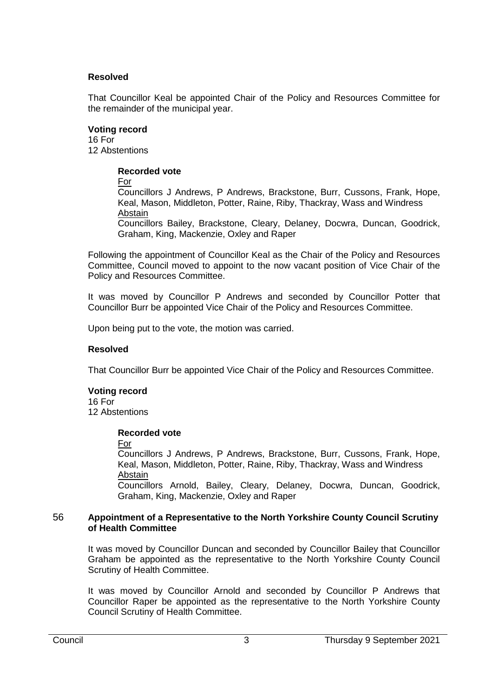### **Resolved**

That Councillor Keal be appointed Chair of the Policy and Resources Committee for the remainder of the municipal year.

### **Voting record**

16 For 12 Abstentions

### **Recorded vote**

For

Councillors J Andrews, P Andrews, Brackstone, Burr, Cussons, Frank, Hope, Keal, Mason, Middleton, Potter, Raine, Riby, Thackray, Wass and Windress Abstain

Councillors Bailey, Brackstone, Cleary, Delaney, Docwra, Duncan, Goodrick, Graham, King, Mackenzie, Oxley and Raper

Following the appointment of Councillor Keal as the Chair of the Policy and Resources Committee, Council moved to appoint to the now vacant position of Vice Chair of the Policy and Resources Committee.

It was moved by Councillor P Andrews and seconded by Councillor Potter that Councillor Burr be appointed Vice Chair of the Policy and Resources Committee.

Upon being put to the vote, the motion was carried.

#### **Resolved**

That Councillor Burr be appointed Vice Chair of the Policy and Resources Committee.

#### **Voting record** 16 For

12 Abstentions

#### **Recorded vote**

For

Councillors J Andrews, P Andrews, Brackstone, Burr, Cussons, Frank, Hope, Keal, Mason, Middleton, Potter, Raine, Riby, Thackray, Wass and Windress **Abstain** Councillors Arnold, Bailey, Cleary, Delaney, Docwra, Duncan, Goodrick,

Graham, King, Mackenzie, Oxley and Raper

#### 56 **Appointment of a Representative to the North Yorkshire County Council Scrutiny of Health Committee**

It was moved by Councillor Duncan and seconded by Councillor Bailey that Councillor Graham be appointed as the representative to the North Yorkshire County Council Scrutiny of Health Committee.

It was moved by Councillor Arnold and seconded by Councillor P Andrews that Councillor Raper be appointed as the representative to the North Yorkshire County Council Scrutiny of Health Committee.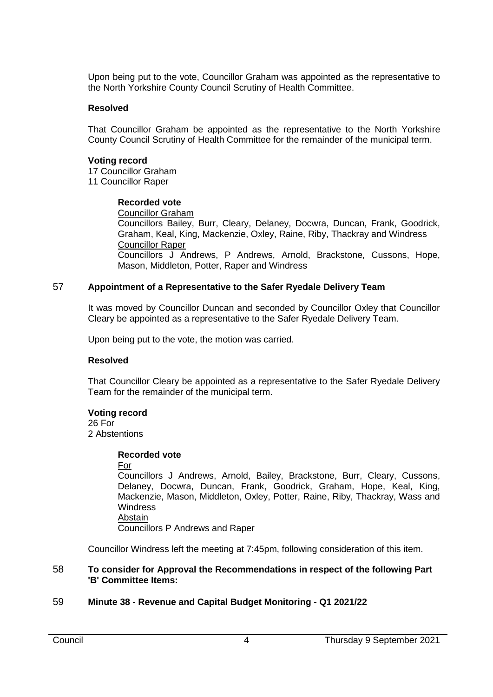Upon being put to the vote, Councillor Graham was appointed as the representative to the North Yorkshire County Council Scrutiny of Health Committee.

#### **Resolved**

That Councillor Graham be appointed as the representative to the North Yorkshire County Council Scrutiny of Health Committee for the remainder of the municipal term.

### **Voting record**

17 Councillor Graham 11 Councillor Raper

## **Recorded vote**

Councillor Graham

Councillors Bailey, Burr, Cleary, Delaney, Docwra, Duncan, Frank, Goodrick, Graham, Keal, King, Mackenzie, Oxley, Raine, Riby, Thackray and Windress Councillor Raper Councillors J Andrews, P Andrews, Arnold, Brackstone, Cussons, Hope, Mason, Middleton, Potter, Raper and Windress

### 57 **Appointment of a Representative to the Safer Ryedale Delivery Team**

It was moved by Councillor Duncan and seconded by Councillor Oxley that Councillor Cleary be appointed as a representative to the Safer Ryedale Delivery Team.

Upon being put to the vote, the motion was carried.

#### **Resolved**

That Councillor Cleary be appointed as a representative to the Safer Ryedale Delivery Team for the remainder of the municipal term.

#### **Voting record**

26 For 2 Abstentions

#### **Recorded vote**

#### For

Councillors J Andrews, Arnold, Bailey, Brackstone, Burr, Cleary, Cussons, Delaney, Docwra, Duncan, Frank, Goodrick, Graham, Hope, Keal, King, Mackenzie, Mason, Middleton, Oxley, Potter, Raine, Riby, Thackray, Wass and **Windress** Abstain

Councillors P Andrews and Raper

Councillor Windress left the meeting at 7:45pm, following consideration of this item.

#### 58 **To consider for Approval the Recommendations in respect of the following Part 'B' Committee Items:**

# 59 **Minute 38 - Revenue and Capital Budget Monitoring - Q1 2021/22**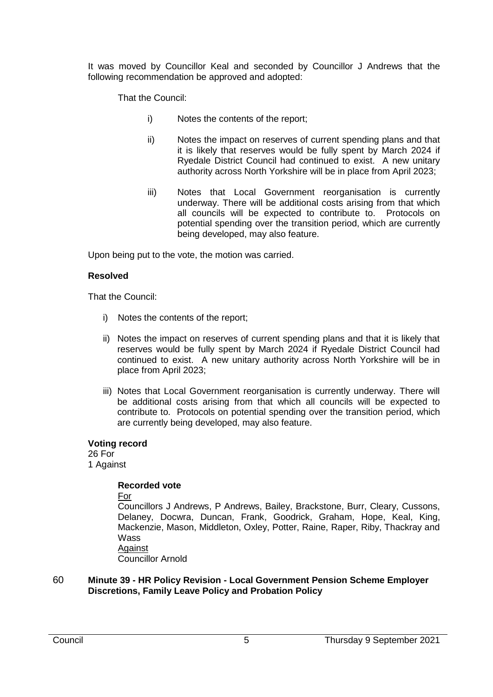It was moved by Councillor Keal and seconded by Councillor J Andrews that the following recommendation be approved and adopted:

That the Council:

- i) Notes the contents of the report;
- ii) Notes the impact on reserves of current spending plans and that it is likely that reserves would be fully spent by March 2024 if Ryedale District Council had continued to exist. A new unitary authority across North Yorkshire will be in place from April 2023;
- iii) Notes that Local Government reorganisation is currently underway. There will be additional costs arising from that which all councils will be expected to contribute to. Protocols on potential spending over the transition period, which are currently being developed, may also feature.

Upon being put to the vote, the motion was carried.

### **Resolved**

That the Council:

- i) Notes the contents of the report;
- ii) Notes the impact on reserves of current spending plans and that it is likely that reserves would be fully spent by March 2024 if Ryedale District Council had continued to exist. A new unitary authority across North Yorkshire will be in place from April 2023;
- iii) Notes that Local Government reorganisation is currently underway. There will be additional costs arising from that which all councils will be expected to contribute to. Protocols on potential spending over the transition period, which are currently being developed, may also feature.

#### **Voting record**

26 For 1 Against

### **Recorded vote**

For

Councillors J Andrews, P Andrews, Bailey, Brackstone, Burr, Cleary, Cussons, Delaney, Docwra, Duncan, Frank, Goodrick, Graham, Hope, Keal, King, Mackenzie, Mason, Middleton, Oxley, Potter, Raine, Raper, Riby, Thackray and Wass **Against** 

Councillor Arnold

### 60 **Minute 39 - HR Policy Revision - Local Government Pension Scheme Employer Discretions, Family Leave Policy and Probation Policy**